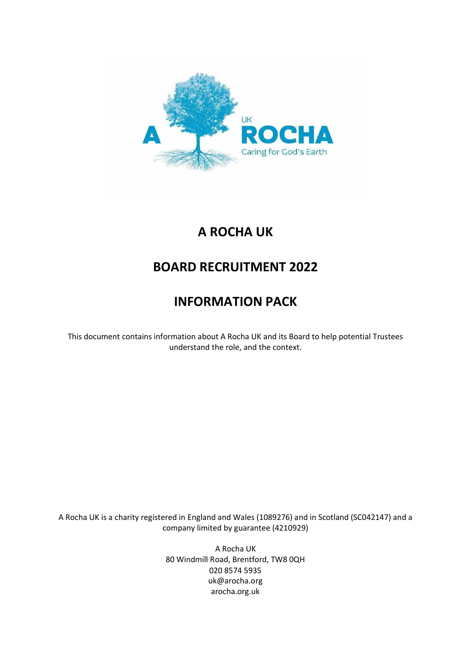

# **A ROCHA UK**

# **BOARD RECRUITMENT 2022**

# **INFORMATION PACK**

This document contains information about A Rocha UK and its Board to help potential Trustees understand the role, and the context.

A Rocha UK is a charity registered in England and Wales (1089276) and in Scotland (SC042147) and a company limited by guarantee (4210929)

> A Rocha UK 80 Windmill Road, Brentford, TW8 0QH 020 8574 5935 uk@arocha.org arocha.org.uk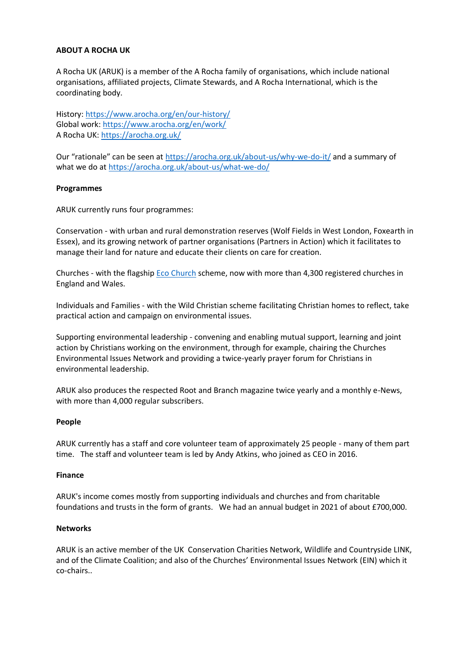## **ABOUT A ROCHA UK**

A Rocha UK (ARUK) is a member of the A Rocha family of organisations, which include national organisations, affiliated projects, Climate Stewards, and A Rocha International, which is the coordinating body.

History:<https://www.arocha.org/en/our-history/> Global work:<https://www.arocha.org/en/work/> A Rocha UK:<https://arocha.org.uk/>

Our "rationale" can be seen at <https://arocha.org.uk/about-us/why-we-do-it/> and a summary of what we do at<https://arocha.org.uk/about-us/what-we-do/>

## **Programmes**

ARUK currently runs four programmes:

Conservation - with urban and rural demonstration reserves (Wolf Fields in West London, Foxearth in Essex), and its growing network of partner organisations (Partners in Action) which it facilitates to manage their land for nature and educate their clients on care for creation.

Churches - with the flagshi[p Eco Church](https://ecochurch.arocha.org.uk/) scheme, now with more than 4,300 registered churches in England and Wales.

Individuals and Families - with the Wild Christian scheme facilitating Christian homes to reflect, take practical action and campaign on environmental issues.

Supporting environmental leadership - convening and enabling mutual support, learning and joint action by Christians working on the environment, through for example, chairing the Churches Environmental Issues Network and providing a twice-yearly prayer forum for Christians in environmental leadership.

ARUK also produces the respected Root and Branch magazine twice yearly and a monthly e-News, with more than 4,000 regular subscribers.

## **People**

ARUK currently has a staff and core volunteer team of approximately 25 people - many of them part time. The staff and volunteer team is led by Andy Atkins, who joined as CEO in 2016.

## **Finance**

ARUK's income comes mostly from supporting individuals and churches and from charitable foundations and trusts in the form of grants. We had an annual budget in 2021 of about £700,000.

## **Networks**

ARUK is an active member of the UK Conservation Charities Network, Wildlife and Countryside LINK, and of the Climate Coalition; and also of the Churches' Environmental Issues Network (EIN) which it co-chairs..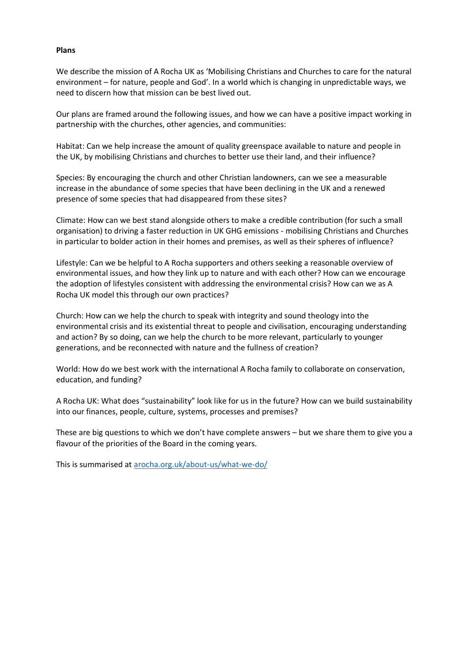#### **Plans**

We describe the mission of A Rocha UK as 'Mobilising Christians and Churches to care for the natural environment – for nature, people and God'. In a world which is changing in unpredictable ways, we need to discern how that mission can be best lived out.

Our plans are framed around the following issues, and how we can have a positive impact working in partnership with the churches, other agencies, and communities:

Habitat: Can we help increase the amount of quality greenspace available to nature and people in the UK, by mobilising Christians and churches to better use their land, and their influence?

Species: By encouraging the church and other Christian landowners, can we see a measurable increase in the abundance of some species that have been declining in the UK and a renewed presence of some species that had disappeared from these sites?

Climate: How can we best stand alongside others to make a credible contribution (for such a small organisation) to driving a faster reduction in UK GHG emissions - mobilising Christians and Churches in particular to bolder action in their homes and premises, as well as their spheres of influence?

Lifestyle: Can we be helpful to A Rocha supporters and others seeking a reasonable overview of environmental issues, and how they link up to nature and with each other? How can we encourage the adoption of lifestyles consistent with addressing the environmental crisis? How can we as A Rocha UK model this through our own practices?

Church: How can we help the church to speak with integrity and sound theology into the environmental crisis and its existential threat to people and civilisation, encouraging understanding and action? By so doing, can we help the church to be more relevant, particularly to younger generations, and be reconnected with nature and the fullness of creation?

World: How do we best work with the international A Rocha family to collaborate on conservation, education, and funding?

A Rocha UK: What does "sustainability" look like for us in the future? How can we build sustainability into our finances, people, culture, systems, processes and premises?

These are big questions to which we don't have complete answers – but we share them to give you a flavour of the priorities of the Board in the coming years.

This is summarised at [arocha.org.uk/about-us/what-we-do/](https://arocha.org.uk/about-us/what-we-do/)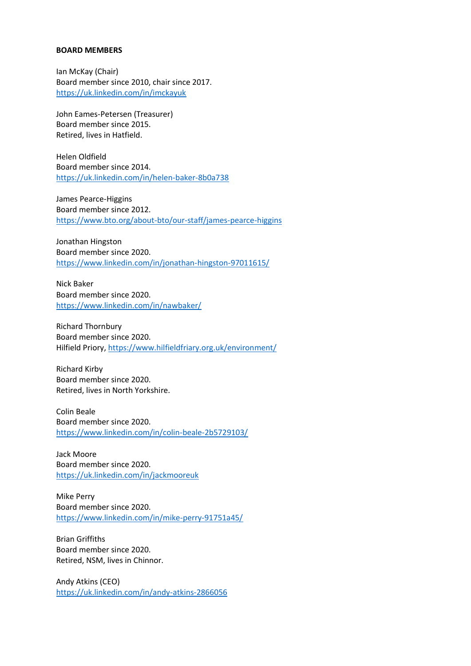#### **BOARD MEMBERS**

Ian McKay (Chair) Board member since 2010, chair since 2017. <https://uk.linkedin.com/in/imckayuk>

John Eames-Petersen (Treasurer) Board member since 2015. Retired, lives in Hatfield.

Helen Oldfield Board member since 2014. <https://uk.linkedin.com/in/helen-baker-8b0a738>

James Pearce-Higgins Board member since 2012. <https://www.bto.org/about-bto/our-staff/james-pearce-higgins>

Jonathan Hingston Board member since 2020. <https://www.linkedin.com/in/jonathan-hingston-97011615/>

Nick Baker Board member since 2020. <https://www.linkedin.com/in/nawbaker/>

Richard Thornbury Board member since 2020. Hilfield Priory,<https://www.hilfieldfriary.org.uk/environment/>

Richard Kirby Board member since 2020. Retired, lives in North Yorkshire.

Colin Beale Board member since 2020. <https://www.linkedin.com/in/colin-beale-2b5729103/>

Jack Moore Board member since 2020. <https://uk.linkedin.com/in/jackmooreuk>

Mike Perry Board member since 2020. <https://www.linkedin.com/in/mike-perry-91751a45/>

Brian Griffiths Board member since 2020. Retired, NSM, lives in Chinnor.

Andy Atkins (CEO) <https://uk.linkedin.com/in/andy-atkins-2866056>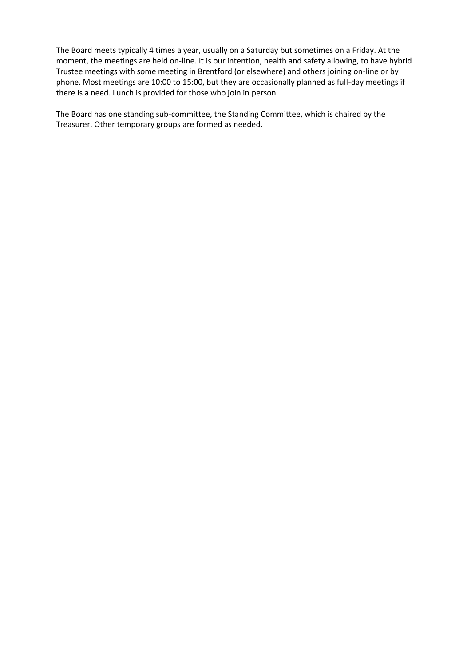The Board meets typically 4 times a year, usually on a Saturday but sometimes on a Friday. At the moment, the meetings are held on-line. It is our intention, health and safety allowing, to have hybrid Trustee meetings with some meeting in Brentford (or elsewhere) and others joining on-line or by phone. Most meetings are 10:00 to 15:00, but they are occasionally planned as full-day meetings if there is a need. Lunch is provided for those who join in person.

The Board has one standing sub-committee, the Standing Committee, which is chaired by the Treasurer. Other temporary groups are formed as needed.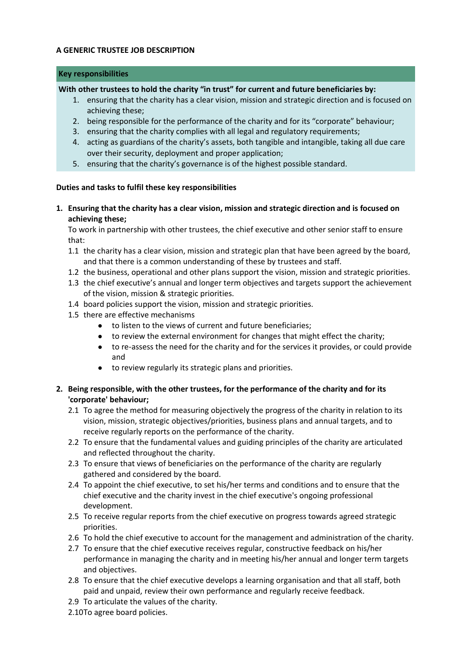## **A GENERIC TRUSTEE JOB DESCRIPTION**

#### **Key responsibilities**

## **With other trustees to hold the charity "in trust" for current and future beneficiaries by:**

- 1. ensuring that the charity has a clear vision, mission and strategic direction and is focused on achieving these;
- 2. being responsible for the performance of the charity and for its "corporate" behaviour;
- 3. ensuring that the charity complies with all legal and regulatory requirements;
- 4. acting as guardians of the charity's assets, both tangible and intangible, taking all due care over their security, deployment and proper application;
- 5. ensuring that the charity's governance is of the highest possible standard.

## **Duties and tasks to fulfil these key responsibilities**

**1. Ensuring that the charity has a clear vision, mission and strategic direction and is focused on achieving these;**

To work in partnership with other trustees, the chief executive and other senior staff to ensure that:

- 1.1 the charity has a clear vision, mission and strategic plan that have been agreed by the board, and that there is a common understanding of these by trustees and staff.
- 1.2 the business, operational and other plans support the vision, mission and strategic priorities.
- 1.3 the chief executive's annual and longer term objectives and targets support the achievement of the vision, mission & strategic priorities.
- 1.4 board policies support the vision, mission and strategic priorities.
- 1.5 there are effective mechanisms
	- to listen to the views of current and future beneficiaries;
		- to review the external environment for changes that might effect the charity;
		- to re-assess the need for the charity and for the services it provides, or could provide and
		- to review regularly its strategic plans and priorities.
- **2. Being responsible, with the other trustees, for the performance of the charity and for its 'corporate' behaviour;**
	- 2.1 To agree the method for measuring objectively the progress of the charity in relation to its vision, mission, strategic objectives/priorities, business plans and annual targets, and to receive regularly reports on the performance of the charity.
	- 2.2 To ensure that the fundamental values and guiding principles of the charity are articulated and reflected throughout the charity.
	- 2.3 To ensure that views of beneficiaries on the performance of the charity are regularly gathered and considered by the board.
	- 2.4 To appoint the chief executive, to set his/her terms and conditions and to ensure that the chief executive and the charity invest in the chief executive's ongoing professional development.
	- 2.5 To receive regular reports from the chief executive on progress towards agreed strategic priorities.
	- 2.6 To hold the chief executive to account for the management and administration of the charity.
	- 2.7 To ensure that the chief executive receives regular, constructive feedback on his/her performance in managing the charity and in meeting his/her annual and longer term targets and objectives.
	- 2.8 To ensure that the chief executive develops a learning organisation and that all staff, both paid and unpaid, review their own performance and regularly receive feedback.
	- 2.9 To articulate the values of the charity.

2.10 To agree board policies.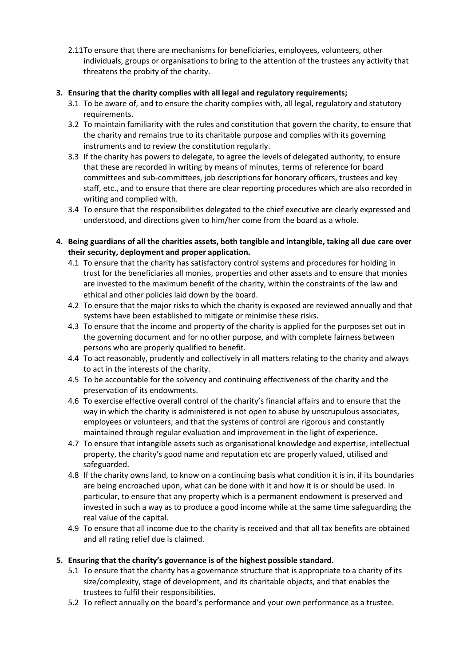2.11 To ensure that there are mechanisms for beneficiaries, employees, volunteers, other individuals, groups or organisations to bring to the attention of the trustees any activity that threatens the probity of the charity.

## **3. Ensuring that the charity complies with all legal and regulatory requirements;**

- 3.1 To be aware of, and to ensure the charity complies with, all legal, regulatory and statutory requirements.
- 3.2 To maintain familiarity with the rules and constitution that govern the charity, to ensure that the charity and remains true to its charitable purpose and complies with its governing instruments and to review the constitution regularly.
- 3.3 If the charity has powers to delegate, to agree the levels of delegated authority, to ensure that these are recorded in writing by means of minutes, terms of reference for board committees and sub-committees, job descriptions for honorary officers, trustees and key staff, etc., and to ensure that there are clear reporting procedures which are also recorded in writing and complied with.
- 3.4 To ensure that the responsibilities delegated to the chief executive are clearly expressed and understood, and directions given to him/her come from the board as a whole.
- **4. Being guardians of all the charities assets, both tangible and intangible, taking all due care over their security, deployment and proper application.**
	- 4.1 To ensure that the charity has satisfactory control systems and procedures for holding in trust for the beneficiaries all monies, properties and other assets and to ensure that monies are invested to the maximum benefit of the charity, within the constraints of the law and ethical and other policies laid down by the board.
	- 4.2 To ensure that the major risks to which the charity is exposed are reviewed annually and that systems have been established to mitigate or minimise these risks.
	- 4.3 To ensure that the income and property of the charity is applied for the purposes set out in the governing document and for no other purpose, and with complete fairness between persons who are properly qualified to benefit.
	- 4.4 To act reasonably, prudently and collectively in all matters relating to the charity and always to act in the interests of the charity.
	- 4.5 To be accountable for the solvency and continuing effectiveness of the charity and the preservation of its endowments.
	- 4.6 To exercise effective overall control of the charity's financial affairs and to ensure that the way in which the charity is administered is not open to abuse by unscrupulous associates, employees or volunteers; and that the systems of control are rigorous and constantly maintained through regular evaluation and improvement in the light of experience.
	- 4.7 To ensure that intangible assets such as organisational knowledge and expertise, intellectual property, the charity's good name and reputation etc are properly valued, utilised and safeguarded.
	- 4.8 If the charity owns land, to know on a continuing basis what condition it is in, if its boundaries are being encroached upon, what can be done with it and how it is or should be used. In particular, to ensure that any property which is a permanent endowment is preserved and invested in such a way as to produce a good income while at the same time safeguarding the real value of the capital.
	- 4.9 To ensure that all income due to the charity is received and that all tax benefits are obtained and all rating relief due is claimed.

# **5. Ensuring that the charity's governance is of the highest possible standard.**

- 5.1 To ensure that the charity has a governance structure that is appropriate to a charity of its size/complexity, stage of development, and its charitable objects, and that enables the trustees to fulfil their responsibilities.
- 5.2 To reflect annually on the board's performance and your own performance as a trustee.